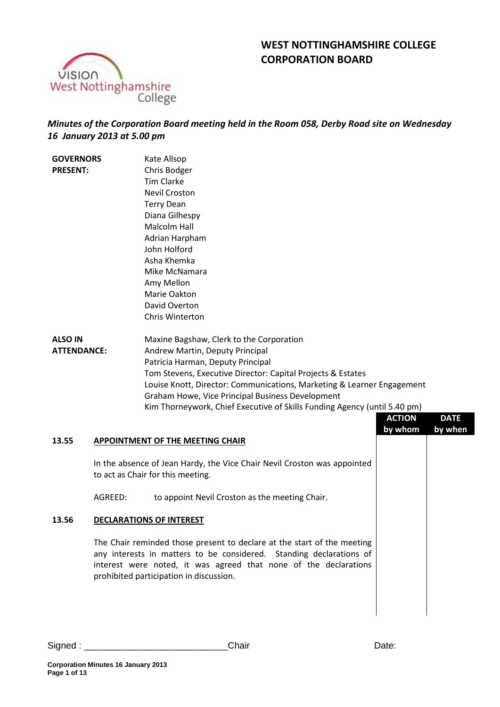



# *Minutes of the Corporation Board meeting held in the Room 058, Derby Road site on Wednesday 16 January 2013 at 5.00 pm*

| <b>GOVERNORS</b>   |                                                                                                               | Kate Allsop                                                               |               |             |
|--------------------|---------------------------------------------------------------------------------------------------------------|---------------------------------------------------------------------------|---------------|-------------|
| <b>PRESENT:</b>    |                                                                                                               | Chris Bodger                                                              |               |             |
|                    |                                                                                                               | <b>Tim Clarke</b>                                                         |               |             |
|                    |                                                                                                               | <b>Nevil Croston</b>                                                      |               |             |
|                    |                                                                                                               | <b>Terry Dean</b>                                                         |               |             |
|                    |                                                                                                               | Diana Gilhespy                                                            |               |             |
|                    |                                                                                                               | <b>Malcolm Hall</b>                                                       |               |             |
|                    |                                                                                                               | Adrian Harpham                                                            |               |             |
|                    |                                                                                                               | John Holford                                                              |               |             |
|                    |                                                                                                               | Asha Khemka                                                               |               |             |
|                    |                                                                                                               | Mike McNamara                                                             |               |             |
|                    |                                                                                                               | Amy Mellon                                                                |               |             |
|                    |                                                                                                               | Marie Oakton                                                              |               |             |
|                    |                                                                                                               | David Overton                                                             |               |             |
|                    |                                                                                                               | Chris Winterton                                                           |               |             |
| <b>ALSO IN</b>     |                                                                                                               | Maxine Bagshaw, Clerk to the Corporation                                  |               |             |
| <b>ATTENDANCE:</b> |                                                                                                               | Andrew Martin, Deputy Principal                                           |               |             |
|                    |                                                                                                               | Patricia Harman, Deputy Principal                                         |               |             |
|                    |                                                                                                               | Tom Stevens, Executive Director: Capital Projects & Estates               |               |             |
|                    |                                                                                                               | Louise Knott, Director: Communications, Marketing & Learner Engagement    |               |             |
|                    |                                                                                                               | Graham Howe, Vice Principal Business Development                          |               |             |
|                    |                                                                                                               | Kim Thorneywork, Chief Executive of Skills Funding Agency (until 5.40 pm) |               |             |
|                    |                                                                                                               |                                                                           | <b>ACTION</b> | <b>DATE</b> |
|                    |                                                                                                               |                                                                           | by whom       | by when     |
| 13.55              |                                                                                                               | <b>APPOINTMENT OF THE MEETING CHAIR</b>                                   |               |             |
|                    | In the absence of Jean Hardy, the Vice Chair Nevil Croston was appointed<br>to act as Chair for this meeting. |                                                                           |               |             |
|                    | AGREED:                                                                                                       | to appoint Nevil Croston as the meeting Chair.                            |               |             |
| 13.56              |                                                                                                               | <b>DECLARATIONS OF INTEREST</b>                                           |               |             |

The Chair reminded those present to declare at the start of the meeting any interests in matters to be considered. Standing declarations of interest were noted, it was agreed that none of the declarations prohibited participation in discussion.

Signed : the contract of the Chair Chair Chair Chair Date: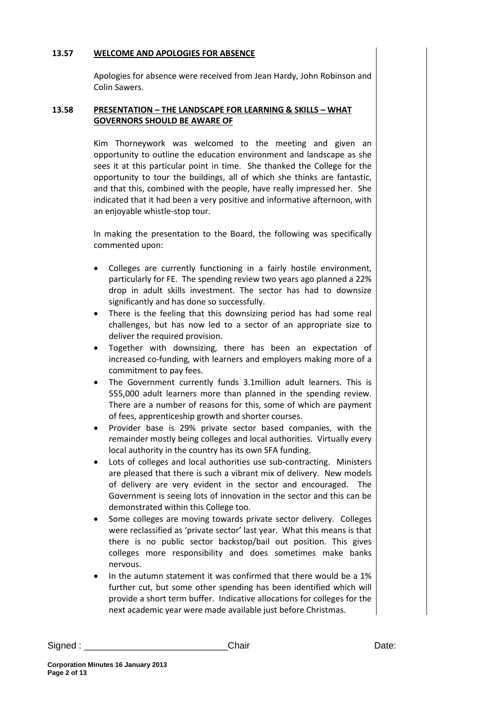#### **13.57 WELCOME AND APOLOGIES FOR ABSENCE**

Apologies for absence were received from Jean Hardy, John Robinson and Colin Sawers.

#### **13.58 PRESENTATION – THE LANDSCAPE FOR LEARNING & SKILLS – WHAT GOVERNORS SHOULD BE AWARE OF**

Kim Thorneywork was welcomed to the meeting and given an opportunity to outline the education environment and landscape as she sees it at this particular point in time. She thanked the College for the opportunity to tour the buildings, all of which she thinks are fantastic, and that this, combined with the people, have really impressed her. She indicated that it had been a very positive and informative afternoon, with an enjoyable whistle-stop tour.

In making the presentation to the Board, the following was specifically commented upon:

- Colleges are currently functioning in a fairly hostile environment, particularly for FE. The spending review two years ago planned a 22% drop in adult skills investment. The sector has had to downsize significantly and has done so successfully.
- There is the feeling that this downsizing period has had some real challenges, but has now led to a sector of an appropriate size to deliver the required provision.
- Together with downsizing, there has been an expectation of increased co-funding, with learners and employers making more of a commitment to pay fees.
- The Government currently funds 3.1million adult learners. This is 555,000 adult learners more than planned in the spending review. There are a number of reasons for this, some of which are payment of fees, apprenticeship growth and shorter courses.
- Provider base is 29% private sector based companies, with the remainder mostly being colleges and local authorities. Virtually every local authority in the country has its own SFA funding.
- Lots of colleges and local authorities use sub-contracting. Ministers are pleased that there is such a vibrant mix of delivery. New models of delivery are very evident in the sector and encouraged. The Government is seeing lots of innovation in the sector and this can be demonstrated within this College too.
- Some colleges are moving towards private sector delivery. Colleges were reclassified as 'private sector' last year. What this means is that there is no public sector backstop/bail out position. This gives colleges more responsibility and does sometimes make banks nervous.
- In the autumn statement it was confirmed that there would be a 1% further cut, but some other spending has been identified which will provide a short term buffer. Indicative allocations for colleges for the next academic year were made available just before Christmas.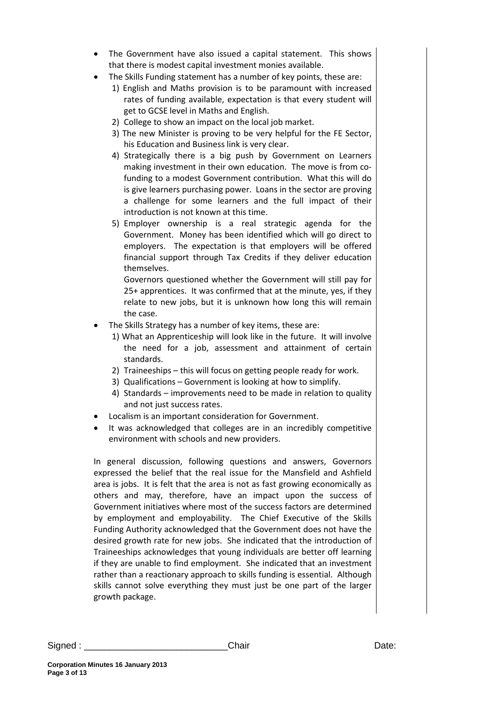- The Government have also issued a capital statement. This shows that there is modest capital investment monies available.
- The Skills Funding statement has a number of key points, these are:
	- 1) English and Maths provision is to be paramount with increased rates of funding available, expectation is that every student will get to GCSE level in Maths and English.
	- 2) College to show an impact on the local job market.
	- 3) The new Minister is proving to be very helpful for the FE Sector, his Education and Business link is very clear.
	- 4) Strategically there is a big push by Government on Learners making investment in their own education. The move is from cofunding to a modest Government contribution. What this will do is give learners purchasing power. Loans in the sector are proving a challenge for some learners and the full impact of their introduction is not known at this time.
	- 5) Employer ownership is a real strategic agenda for the Government. Money has been identified which will go direct to employers. The expectation is that employers will be offered financial support through Tax Credits if they deliver education themselves.

Governors questioned whether the Government will still pay for 25+ apprentices. It was confirmed that at the minute, yes, if they relate to new jobs, but it is unknown how long this will remain the case.

- The Skills Strategy has a number of key items, these are:
	- 1) What an Apprenticeship will look like in the future. It will involve the need for a job, assessment and attainment of certain standards.
	- 2) Traineeships this will focus on getting people ready for work.
	- 3) Qualifications Government is looking at how to simplify.
	- 4) Standards improvements need to be made in relation to quality and not just success rates.
- Localism is an important consideration for Government.
- It was acknowledged that colleges are in an incredibly competitive environment with schools and new providers.

In general discussion, following questions and answers, Governors expressed the belief that the real issue for the Mansfield and Ashfield area is jobs. It is felt that the area is not as fast growing economically as others and may, therefore, have an impact upon the success of Government initiatives where most of the success factors are determined by employment and employability. The Chief Executive of the Skills Funding Authority acknowledged that the Government does not have the desired growth rate for new jobs. She indicated that the introduction of Traineeships acknowledges that young individuals are better off learning if they are unable to find employment. She indicated that an investment rather than a reactionary approach to skills funding is essential. Although skills cannot solve everything they must just be one part of the larger growth package.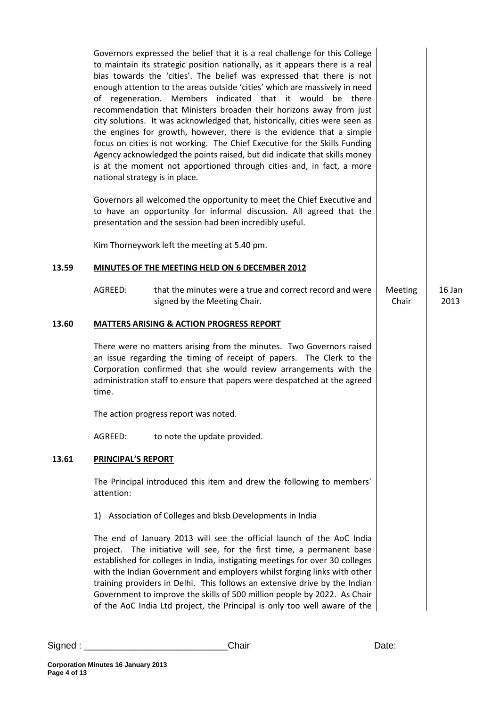|       | Governors expressed the belief that it is a real challenge for this College<br>to maintain its strategic position nationally, as it appears there is a real<br>bias towards the 'cities'. The belief was expressed that there is not<br>enough attention to the areas outside 'cities' which are massively in need<br>of regeneration. Members indicated that it would be there<br>recommendation that Ministers broaden their horizons away from just<br>city solutions. It was acknowledged that, historically, cities were seen as<br>the engines for growth, however, there is the evidence that a simple<br>focus on cities is not working. The Chief Executive for the Skills Funding<br>Agency acknowledged the points raised, but did indicate that skills money<br>is at the moment not apportioned through cities and, in fact, a more<br>national strategy is in place.<br>Governors all welcomed the opportunity to meet the Chief Executive and<br>to have an opportunity for informal discussion. All agreed that the<br>presentation and the session had been incredibly useful. |                  |                |
|-------|-------------------------------------------------------------------------------------------------------------------------------------------------------------------------------------------------------------------------------------------------------------------------------------------------------------------------------------------------------------------------------------------------------------------------------------------------------------------------------------------------------------------------------------------------------------------------------------------------------------------------------------------------------------------------------------------------------------------------------------------------------------------------------------------------------------------------------------------------------------------------------------------------------------------------------------------------------------------------------------------------------------------------------------------------------------------------------------------------|------------------|----------------|
|       | Kim Thorneywork left the meeting at 5.40 pm.                                                                                                                                                                                                                                                                                                                                                                                                                                                                                                                                                                                                                                                                                                                                                                                                                                                                                                                                                                                                                                                    |                  |                |
| 13.59 | MINUTES OF THE MEETING HELD ON 6 DECEMBER 2012                                                                                                                                                                                                                                                                                                                                                                                                                                                                                                                                                                                                                                                                                                                                                                                                                                                                                                                                                                                                                                                  |                  |                |
|       | AGREED:<br>that the minutes were a true and correct record and were<br>signed by the Meeting Chair.                                                                                                                                                                                                                                                                                                                                                                                                                                                                                                                                                                                                                                                                                                                                                                                                                                                                                                                                                                                             | Meeting<br>Chair | 16 Jan<br>2013 |
| 13.60 | <b>MATTERS ARISING &amp; ACTION PROGRESS REPORT</b>                                                                                                                                                                                                                                                                                                                                                                                                                                                                                                                                                                                                                                                                                                                                                                                                                                                                                                                                                                                                                                             |                  |                |
|       | There were no matters arising from the minutes. Two Governors raised<br>an issue regarding the timing of receipt of papers. The Clerk to the<br>Corporation confirmed that she would review arrangements with the<br>administration staff to ensure that papers were despatched at the agreed<br>time.                                                                                                                                                                                                                                                                                                                                                                                                                                                                                                                                                                                                                                                                                                                                                                                          |                  |                |
|       | The action progress report was noted                                                                                                                                                                                                                                                                                                                                                                                                                                                                                                                                                                                                                                                                                                                                                                                                                                                                                                                                                                                                                                                            |                  |                |
|       | AGREED:<br>to note the update provided.                                                                                                                                                                                                                                                                                                                                                                                                                                                                                                                                                                                                                                                                                                                                                                                                                                                                                                                                                                                                                                                         |                  |                |
| 13.61 | PRINCIPAL'S REPORT                                                                                                                                                                                                                                                                                                                                                                                                                                                                                                                                                                                                                                                                                                                                                                                                                                                                                                                                                                                                                                                                              |                  |                |
|       | The Principal introduced this item and drew the following to members'<br>attention:                                                                                                                                                                                                                                                                                                                                                                                                                                                                                                                                                                                                                                                                                                                                                                                                                                                                                                                                                                                                             |                  |                |
|       | 1) Association of Colleges and bksb Developments in India                                                                                                                                                                                                                                                                                                                                                                                                                                                                                                                                                                                                                                                                                                                                                                                                                                                                                                                                                                                                                                       |                  |                |
|       | The end of January 2013 will see the official launch of the AoC India<br>project. The initiative will see, for the first time, a permanent base<br>established for colleges in India, instigating meetings for over 30 colleges<br>with the Indian Government and employers whilst forging links with other<br>training providers in Delhi. This follows an extensive drive by the Indian<br>Government to improve the skills of 500 million people by 2022. As Chair<br>of the AoC India Ltd project, the Principal is only too well aware of the                                                                                                                                                                                                                                                                                                                                                                                                                                                                                                                                              |                  |                |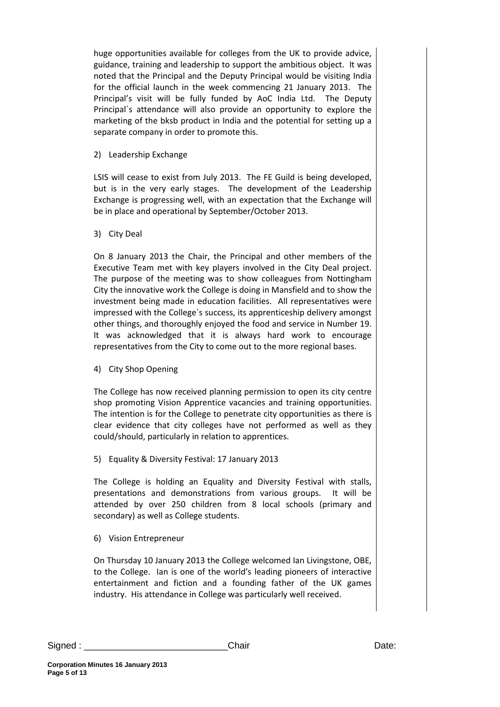huge opportunities available for colleges from the UK to provide advice, guidance, training and leadership to support the ambitious object. It was noted that the Principal and the Deputy Principal would be visiting India for the official launch in the week commencing 21 January 2013. The Principal's visit will be fully funded by AoC India Ltd. The Deputy Principal`s attendance will also provide an opportunity to explore the marketing of the bksb product in India and the potential for setting up a separate company in order to promote this.

2) Leadership Exchange

LSIS will cease to exist from July 2013. The FE Guild is being developed, but is in the very early stages. The development of the Leadership Exchange is progressing well, with an expectation that the Exchange will be in place and operational by September/October 2013.

3) City Deal

On 8 January 2013 the Chair, the Principal and other members of the Executive Team met with key players involved in the City Deal project. The purpose of the meeting was to show colleagues from Nottingham City the innovative work the College is doing in Mansfield and to show the investment being made in education facilities. All representatives were impressed with the College`s success, its apprenticeship delivery amongst other things, and thoroughly enjoyed the food and service in Number 19. It was acknowledged that it is always hard work to encourage representatives from the City to come out to the more regional bases.

4) City Shop Opening

The College has now received planning permission to open its city centre shop promoting Vision Apprentice vacancies and training opportunities. The intention is for the College to penetrate city opportunities as there is clear evidence that city colleges have not performed as well as they could/should, particularly in relation to apprentices.

5) Equality & Diversity Festival: 17 January 2013

The College is holding an Equality and Diversity Festival with stalls, presentations and demonstrations from various groups. It will be attended by over 250 children from 8 local schools (primary and secondary) as well as College students.

6) Vision Entrepreneur

On Thursday 10 January 2013 the College welcomed Ian Livingstone, OBE, to the College. Ian is one of the world's leading pioneers of interactive entertainment and fiction and a founding father of the UK games industry. His attendance in College was particularly well received.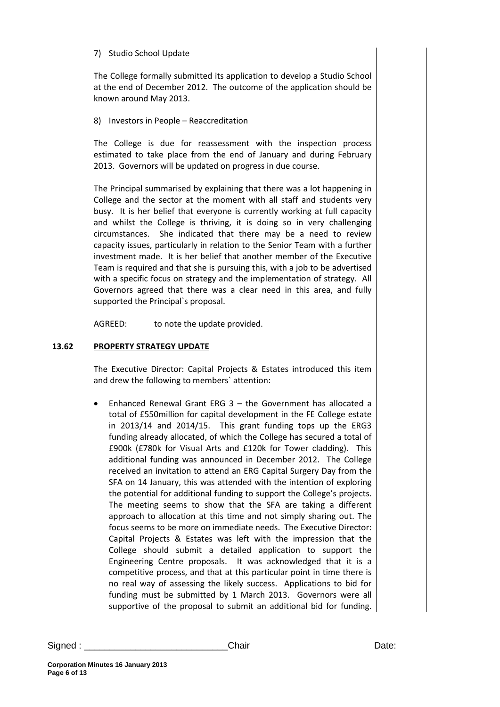### 7) Studio School Update

The College formally submitted its application to develop a Studio School at the end of December 2012. The outcome of the application should be known around May 2013.

8) Investors in People – Reaccreditation

The College is due for reassessment with the inspection process estimated to take place from the end of January and during February 2013. Governors will be updated on progress in due course.

The Principal summarised by explaining that there was a lot happening in College and the sector at the moment with all staff and students very busy. It is her belief that everyone is currently working at full capacity and whilst the College is thriving, it is doing so in very challenging circumstances. She indicated that there may be a need to review capacity issues, particularly in relation to the Senior Team with a further investment made. It is her belief that another member of the Executive Team is required and that she is pursuing this, with a job to be advertised with a specific focus on strategy and the implementation of strategy. All Governors agreed that there was a clear need in this area, and fully supported the Principal`s proposal.

AGREED: to note the update provided.

## **13.62 PROPERTY STRATEGY UPDATE**

The Executive Director: Capital Projects & Estates introduced this item and drew the following to members` attention:

• Enhanced Renewal Grant ERG 3 – the Government has allocated a total of £550million for capital development in the FE College estate in 2013/14 and 2014/15. This grant funding tops up the ERG3 funding already allocated, of which the College has secured a total of £900k (£780k for Visual Arts and £120k for Tower cladding). This additional funding was announced in December 2012. The College received an invitation to attend an ERG Capital Surgery Day from the SFA on 14 January, this was attended with the intention of exploring the potential for additional funding to support the College's projects. The meeting seems to show that the SFA are taking a different approach to allocation at this time and not simply sharing out. The focus seems to be more on immediate needs. The Executive Director: Capital Projects & Estates was left with the impression that the College should submit a detailed application to support the Engineering Centre proposals. It was acknowledged that it is a competitive process, and that at this particular point in time there is no real way of assessing the likely success. Applications to bid for funding must be submitted by 1 March 2013. Governors were all supportive of the proposal to submit an additional bid for funding.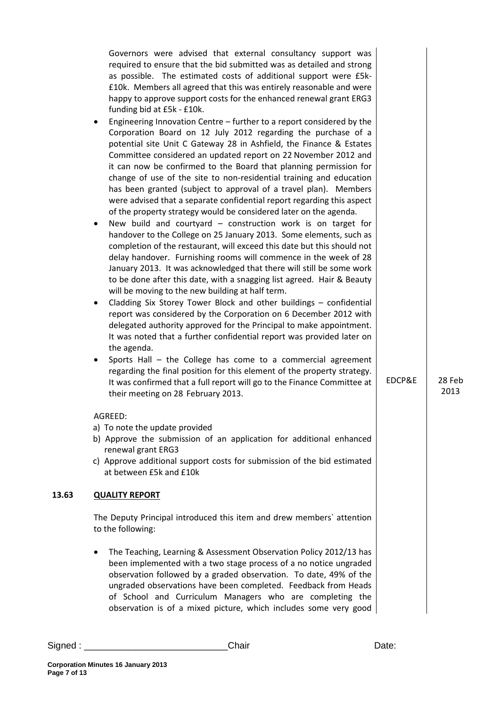| Governors were advised that external consultancy support was<br>required to ensure that the bid submitted was as detailed and strong<br>as possible. The estimated costs of additional support were £5k-<br>£10k. Members all agreed that this was entirely reasonable and were<br>happy to approve support costs for the enhanced renewal grant ERG3<br>funding bid at £5k - £10k.<br>Engineering Innovation Centre – further to a report considered by the<br>Corporation Board on 12 July 2012 regarding the purchase of a<br>potential site Unit C Gateway 28 in Ashfield, the Finance & Estates<br>Committee considered an updated report on 22 November 2012 and<br>it can now be confirmed to the Board that planning permission for<br>change of use of the site to non-residential training and education<br>has been granted (subject to approval of a travel plan). Members<br>were advised that a separate confidential report regarding this aspect<br>of the property strategy would be considered later on the agenda.<br>New build and courtyard - construction work is on target for<br>handover to the College on 25 January 2013. Some elements, such as<br>completion of the restaurant, will exceed this date but this should not<br>delay handover. Furnishing rooms will commence in the week of 28<br>January 2013. It was acknowledged that there will still be some work<br>to be done after this date, with a snagging list agreed. Hair & Beauty<br>will be moving to the new building at half term.<br>Cladding Six Storey Tower Block and other buildings - confidential<br>report was considered by the Corporation on 6 December 2012 with<br>delegated authority approved for the Principal to make appointment.<br>It was noted that a further confidential report was provided later on<br>the agenda.<br>Sports Hall - the College has come to a commercial agreement<br>regarding the final position for this element of the property strategy.<br>It was confirmed that a full report will go to the Finance Committee at<br>their meeting on 28 February 2013.<br>AGREED:<br>a) To note the update provided<br>b) Approve the submission of an application for additional enhanced<br>renewal grant ERG3<br>c) Approve additional support costs for submission of the bid estimated<br>at between £5k and £10k | EDCP&E | 28 Feb<br>2013 |
|-------------------------------------------------------------------------------------------------------------------------------------------------------------------------------------------------------------------------------------------------------------------------------------------------------------------------------------------------------------------------------------------------------------------------------------------------------------------------------------------------------------------------------------------------------------------------------------------------------------------------------------------------------------------------------------------------------------------------------------------------------------------------------------------------------------------------------------------------------------------------------------------------------------------------------------------------------------------------------------------------------------------------------------------------------------------------------------------------------------------------------------------------------------------------------------------------------------------------------------------------------------------------------------------------------------------------------------------------------------------------------------------------------------------------------------------------------------------------------------------------------------------------------------------------------------------------------------------------------------------------------------------------------------------------------------------------------------------------------------------------------------------------------------------------------------------------------------------------------------------------------------------------------------------------------------------------------------------------------------------------------------------------------------------------------------------------------------------------------------------------------------------------------------------------------------------------------------------------------------------------------------------------------------------------------------------------------------------------------|--------|----------------|
| <b>QUALITY REPORT</b>                                                                                                                                                                                                                                                                                                                                                                                                                                                                                                                                                                                                                                                                                                                                                                                                                                                                                                                                                                                                                                                                                                                                                                                                                                                                                                                                                                                                                                                                                                                                                                                                                                                                                                                                                                                                                                                                                                                                                                                                                                                                                                                                                                                                                                                                                                                                 |        |                |
| The Deputy Principal introduced this item and drew members' attention<br>to the following:                                                                                                                                                                                                                                                                                                                                                                                                                                                                                                                                                                                                                                                                                                                                                                                                                                                                                                                                                                                                                                                                                                                                                                                                                                                                                                                                                                                                                                                                                                                                                                                                                                                                                                                                                                                                                                                                                                                                                                                                                                                                                                                                                                                                                                                            |        |                |
| The Teaching, Learning & Assessment Observation Policy 2012/13 has<br>been implemented with a two stage process of a no notice ungraded<br>observation followed by a graded observation. To date, 49% of the<br>ungraded observations have been completed. Feedback from Heads<br>of School and Curriculum Managers who are completing the<br>observation is of a mixed picture, which includes some very good                                                                                                                                                                                                                                                                                                                                                                                                                                                                                                                                                                                                                                                                                                                                                                                                                                                                                                                                                                                                                                                                                                                                                                                                                                                                                                                                                                                                                                                                                                                                                                                                                                                                                                                                                                                                                                                                                                                                        |        |                |

**13.63**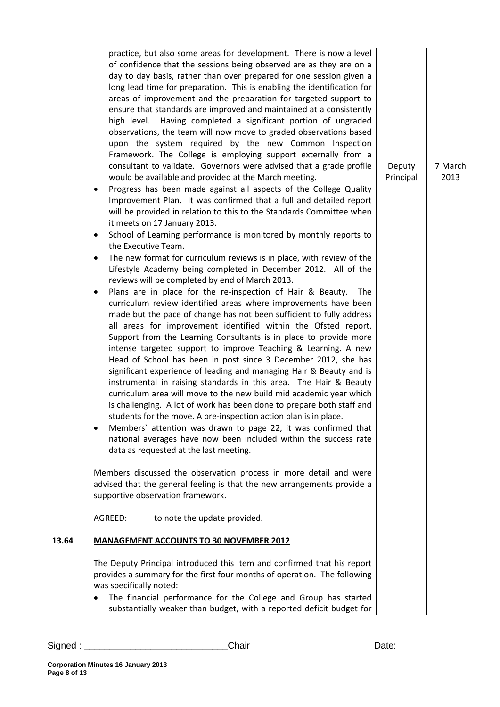practice, but also some areas for development. There is now a level of confidence that the sessions being observed are as they are on a day to day basis, rather than over prepared for one session given a long lead time for preparation. This is enabling the identification for areas of improvement and the preparation for targeted support to ensure that standards are improved and maintained at a consistently high level. Having completed a significant portion of ungraded observations, the team will now move to graded observations based upon the system required by the new Common Inspection Framework. The College is employing support externally from a consultant to validate. Governors were advised that a grade profile would be available and provided at the March meeting.

- Progress has been made against all aspects of the College Quality Improvement Plan. It was confirmed that a full and detailed report will be provided in relation to this to the Standards Committee when it meets on 17 January 2013.
- School of Learning performance is monitored by monthly reports to the Executive Team.
- The new format for curriculum reviews is in place, with review of the Lifestyle Academy being completed in December 2012. All of the reviews will be completed by end of March 2013.
- Plans are in place for the re-inspection of Hair & Beauty. The curriculum review identified areas where improvements have been made but the pace of change has not been sufficient to fully address all areas for improvement identified within the Ofsted report. Support from the Learning Consultants is in place to provide more intense targeted support to improve Teaching & Learning. A new Head of School has been in post since 3 December 2012, she has significant experience of leading and managing Hair & Beauty and is instrumental in raising standards in this area. The Hair & Beauty curriculum area will move to the new build mid academic year which is challenging. A lot of work has been done to prepare both staff and students for the move. A pre-inspection action plan is in place.
- Members` attention was drawn to page 22, it was confirmed that national averages have now been included within the success rate data as requested at the last meeting.

Members discussed the observation process in more detail and were advised that the general feeling is that the new arrangements provide a supportive observation framework.

AGREED: to note the update provided.

#### **13.64 MANAGEMENT ACCOUNTS TO 30 NOVEMBER 2012**

The Deputy Principal introduced this item and confirmed that his report provides a summary for the first four months of operation. The following was specifically noted:

• The financial performance for the College and Group has started substantially weaker than budget, with a reported deficit budget for

Signed : \_\_\_\_\_\_\_\_\_\_\_\_\_\_\_\_\_\_\_\_\_\_\_\_\_\_\_\_Chair Date:

7 March 2013

Deputy Principal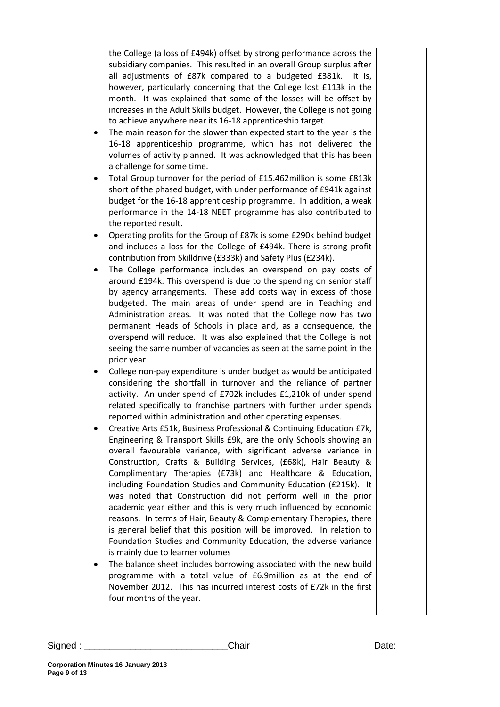the College (a loss of £494k) offset by strong performance across the subsidiary companies. This resulted in an overall Group surplus after all adjustments of £87k compared to a budgeted £381k. It is, however, particularly concerning that the College lost £113k in the month. It was explained that some of the losses will be offset by increases in the Adult Skills budget. However, the College is not going to achieve anywhere near its 16-18 apprenticeship target.

- The main reason for the slower than expected start to the year is the 16-18 apprenticeship programme, which has not delivered the volumes of activity planned. It was acknowledged that this has been a challenge for some time.
- Total Group turnover for the period of £15.462million is some £813k short of the phased budget, with under performance of £941k against budget for the 16-18 apprenticeship programme. In addition, a weak performance in the 14-18 NEET programme has also contributed to the reported result.
- Operating profits for the Group of £87k is some £290k behind budget and includes a loss for the College of £494k. There is strong profit contribution from Skilldrive (£333k) and Safety Plus (£234k).
- The College performance includes an overspend on pay costs of around £194k. This overspend is due to the spending on senior staff by agency arrangements. These add costs way in excess of those budgeted. The main areas of under spend are in Teaching and Administration areas. It was noted that the College now has two permanent Heads of Schools in place and, as a consequence, the overspend will reduce. It was also explained that the College is not seeing the same number of vacancies as seen at the same point in the prior year.
- College non-pay expenditure is under budget as would be anticipated considering the shortfall in turnover and the reliance of partner activity. An under spend of £702k includes £1,210k of under spend related specifically to franchise partners with further under spends reported within administration and other operating expenses.
- Creative Arts £51k, Business Professional & Continuing Education £7k, Engineering & Transport Skills £9k, are the only Schools showing an overall favourable variance, with significant adverse variance in Construction, Crafts & Building Services, (£68k), Hair Beauty & Complimentary Therapies (£73k) and Healthcare & Education, including Foundation Studies and Community Education (£215k). It was noted that Construction did not perform well in the prior academic year either and this is very much influenced by economic reasons. In terms of Hair, Beauty & Complementary Therapies, there is general belief that this position will be improved. In relation to Foundation Studies and Community Education, the adverse variance is mainly due to learner volumes
- The balance sheet includes borrowing associated with the new build programme with a total value of £6.9million as at the end of November 2012. This has incurred interest costs of £72k in the first four months of the year.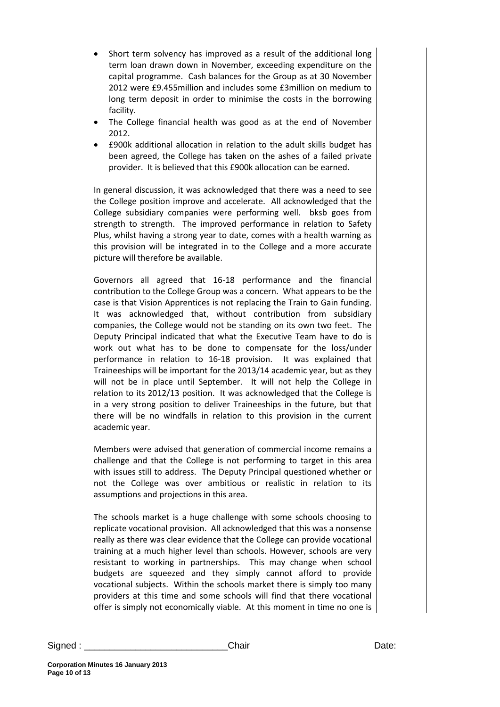- Short term solvency has improved as a result of the additional long term loan drawn down in November, exceeding expenditure on the capital programme. Cash balances for the Group as at 30 November 2012 were £9.455million and includes some £3million on medium to long term deposit in order to minimise the costs in the borrowing facility.
- The College financial health was good as at the end of November 2012.
- £900k additional allocation in relation to the adult skills budget has been agreed, the College has taken on the ashes of a failed private provider. It is believed that this £900k allocation can be earned.

In general discussion, it was acknowledged that there was a need to see the College position improve and accelerate. All acknowledged that the College subsidiary companies were performing well. bksb goes from strength to strength. The improved performance in relation to Safety Plus, whilst having a strong year to date, comes with a health warning as this provision will be integrated in to the College and a more accurate picture will therefore be available.

Governors all agreed that 16-18 performance and the financial contribution to the College Group was a concern. What appears to be the case is that Vision Apprentices is not replacing the Train to Gain funding. It was acknowledged that, without contribution from subsidiary companies, the College would not be standing on its own two feet. The Deputy Principal indicated that what the Executive Team have to do is work out what has to be done to compensate for the loss/under performance in relation to 16-18 provision. It was explained that Traineeships will be important for the 2013/14 academic year, but as they will not be in place until September. It will not help the College in relation to its 2012/13 position. It was acknowledged that the College is in a very strong position to deliver Traineeships in the future, but that there will be no windfalls in relation to this provision in the current academic year.

Members were advised that generation of commercial income remains a challenge and that the College is not performing to target in this area with issues still to address. The Deputy Principal questioned whether or not the College was over ambitious or realistic in relation to its assumptions and projections in this area.

The schools market is a huge challenge with some schools choosing to replicate vocational provision. All acknowledged that this was a nonsense really as there was clear evidence that the College can provide vocational training at a much higher level than schools. However, schools are very resistant to working in partnerships. This may change when school budgets are squeezed and they simply cannot afford to provide vocational subjects. Within the schools market there is simply too many providers at this time and some schools will find that there vocational offer is simply not economically viable. At this moment in time no one is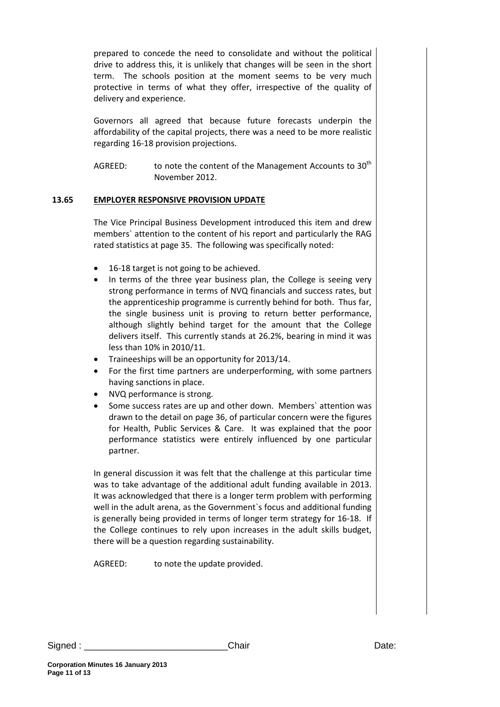prepared to concede the need to consolidate and without the political drive to address this, it is unlikely that changes will be seen in the short term. The schools position at the moment seems to be very much protective in terms of what they offer, irrespective of the quality of delivery and experience.

Governors all agreed that because future forecasts underpin the affordability of the capital projects, there was a need to be more realistic regarding 16-18 provision projections.

AGREED: to note the content of the Management Accounts to  $30<sup>th</sup>$ November 2012.

#### **13.65 EMPLOYER RESPONSIVE PROVISION UPDATE**

The Vice Principal Business Development introduced this item and drew members` attention to the content of his report and particularly the RAG rated statistics at page 35. The following was specifically noted:

- 16-18 target is not going to be achieved.
- In terms of the three year business plan, the College is seeing very strong performance in terms of NVQ financials and success rates, but the apprenticeship programme is currently behind for both. Thus far, the single business unit is proving to return better performance, although slightly behind target for the amount that the College delivers itself. This currently stands at 26.2%, bearing in mind it was less than 10% in 2010/11.
- Traineeships will be an opportunity for 2013/14.
- For the first time partners are underperforming, with some partners having sanctions in place.
- NVQ performance is strong.
- Some success rates are up and other down. Members' attention was drawn to the detail on page 36, of particular concern were the figures for Health, Public Services & Care. It was explained that the poor performance statistics were entirely influenced by one particular partner.

In general discussion it was felt that the challenge at this particular time was to take advantage of the additional adult funding available in 2013. It was acknowledged that there is a longer term problem with performing well in the adult arena, as the Government`s focus and additional funding is generally being provided in terms of longer term strategy for 16-18. If the College continues to rely upon increases in the adult skills budget, there will be a question regarding sustainability.

AGREED: to note the update provided.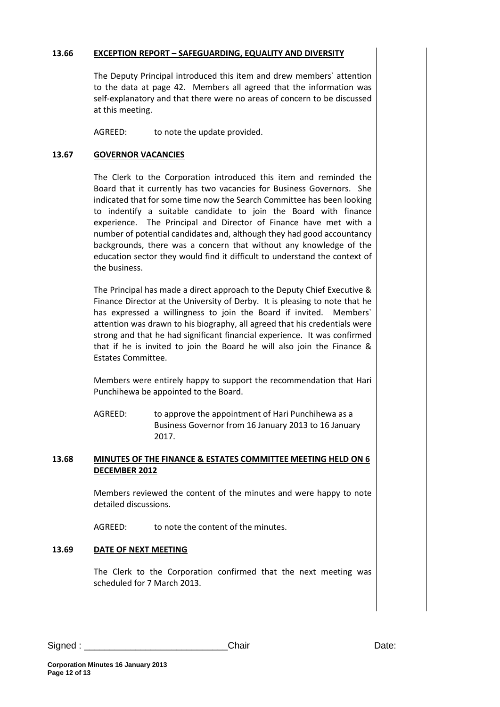#### **13.66 EXCEPTION REPORT – SAFEGUARDING, EQUALITY AND DIVERSITY**

The Deputy Principal introduced this item and drew members` attention to the data at page 42. Members all agreed that the information was self-explanatory and that there were no areas of concern to be discussed at this meeting.

AGREED: to note the update provided.

### **13.67 GOVERNOR VACANCIES**

The Clerk to the Corporation introduced this item and reminded the Board that it currently has two vacancies for Business Governors. She indicated that for some time now the Search Committee has been looking to indentify a suitable candidate to join the Board with finance experience. The Principal and Director of Finance have met with a number of potential candidates and, although they had good accountancy backgrounds, there was a concern that without any knowledge of the education sector they would find it difficult to understand the context of the business.

The Principal has made a direct approach to the Deputy Chief Executive & Finance Director at the University of Derby. It is pleasing to note that he has expressed a willingness to join the Board if invited. Members` attention was drawn to his biography, all agreed that his credentials were strong and that he had significant financial experience. It was confirmed that if he is invited to join the Board he will also join the Finance & Estates Committee.

Members were entirely happy to support the recommendation that Hari Punchihewa be appointed to the Board.

AGREED: to approve the appointment of Hari Punchihewa as a Business Governor from 16 January 2013 to 16 January 2017.

#### **13.68 MINUTES OF THE FINANCE & ESTATES COMMITTEE MEETING HELD ON 6 DECEMBER 2012**

Members reviewed the content of the minutes and were happy to note detailed discussions.

AGREED: to note the content of the minutes.

#### **13.69 DATE OF NEXT MEETING**

The Clerk to the Corporation confirmed that the next meeting was scheduled for 7 March 2013.